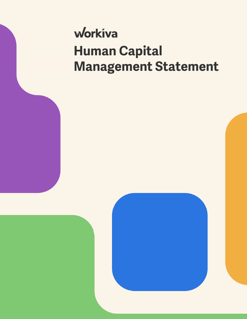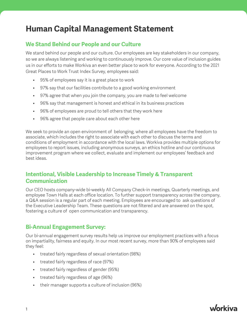#### **We Stand Behind our People and our Culture**

We stand behind our people and our culture. Our employees are key stakeholders in our company, so we are always listening and working to continuously improve. Our core value of inclusion guides us in our efforts to make Workiva an even better place to work for everyone. According to the 2021 Great Places to Work Trust Index Survey, employees said:

- 95% of employees say it is a great place to work
- 97% say that our facilities contribute to a good working environment
- 97% agree that when you join the company, you are made to feel welcome
- 96% say that management is honest and ethical in its business practices
- 96% of employees are proud to tell others that they work here
- 96% agree that people care about each other here

We seek to provide an open environment of belonging, where all employees have the freedom to associate, which includes the right to associate with each other to discuss the terms and conditions of employment in accordance with the local laws. Workiva provides multiple options for employees to report issues, including anonymous surveys, an ethics hotline and our continuous improvement program where we collect, evaluate and implement our employees' feedback and best ideas.

#### **Intentional, Visible Leadership to Increase Timely & Transparent Communication**

Our CEO hosts company-wide bi-weekly All Company Check-in meetings, Quarterly meetings, and employee Town Halls at each office location. To further support transparency across the company, a Q&A session is a regular part of each meeting. Employees are encouraged to ask questions of the Executive Leadership Team. These questions are not filtered and are answered on the spot, fostering a culture of open communication and transparency.

#### **Bi-Annual Engagement Survey:**

Our bi-annual engagement survey results help us improve our employment practices with a focus on impartiality, fairness and equity. In our most recent survey, more than 90% of employees said they feel:

- treated fairly regardless of sexual orientation (98%)
- treated fairly regardless of race (97%)
- treated fairly regardless of gender (95%)
- treated fairly regardless of age (96%)
- their manager supports a culture of inclusion (96%)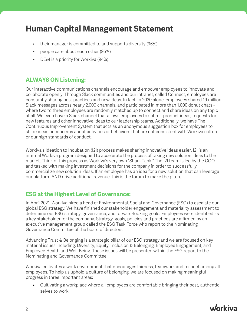- their manager is committed to and supports diversity (96%)
- people care about each other (95%)
- DE&I is a priority for Workiva (94%)

#### **ALWAYS ON Listening:**

Our interactive communications channels encourage and empower employees to innovate and collaborate openly. Through Slack communities and our intranet, called Connect, employees are constantly sharing best practices and new ideas. In fact, in 2020 alone, employees shared 19 million Slack messages across nearly 2,000 channels, and participated in more than 1,000 donut chats where two to three employees are randomly matched up to connect and share ideas on any topic at all. We even have a Slack channel that allows employees to submit product ideas, requests for new features and other innovative ideas to our leadership teams. Additionally, we have The Continuous Improvement System that acts as an anonymous suggestion box for employees to share ideas or concerns about activities or behaviors that are not consistent with Workiva culture or our high standards of conduct.

Workiva's Ideation to Incubation (I2I) process makes sharing innovative ideas easier. I2I is an internal Workiva program designed to accelerate the process of taking new solution ideas to the market. Think of this process as Workiva's very own "Shark Tank." The I2I team is led by the COO and tasked with making investment decisions for the company in order to successfully commercialize new solution ideas. If an employee has an idea for a new solution that can leverage our platform AND drive additional revenue, this is the forum to make the pitch.

#### **ESG at the Highest Level of Governance:**

In April 2021, Workiva hired a head of Environmental, Social and Governance (ESG) to escalate our global ESG strategy. We have finished our stakeholder engagement and materiality assessment to determine our ESG strategy, governance, and forward-looking goals. Employees were identified as a key stakeholder for the company. Strategy, goals, policies and practices are affirmed by an executive management group called the ESG Task Force who report to the Nominating Governance Committee of the board of directors.

Advancing Trust & Belonging is a strategic pillar of our ESG strategy and we are focused on key material issues including: Diversity, Equity, Inclusion & Belonging, Employee Engagement, and Employee Health and Well-Being. These issues will be presented within the ESG report to the Nominating and Governance Committee.

Workiva cultivates a work environment that encourages fairness, teamwork and respect among all employees. To help us uphold a culture of belonging, we are focused on making meaningful progress in three important areas:

• Cultivating a workplace where all employees are comfortable bringing their best, authentic selves to work.

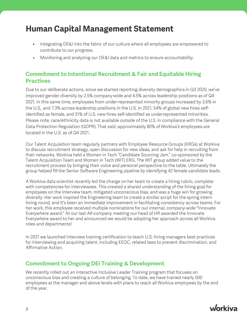- Integrating DE&I into the fabric of our culture where all employees are empowered to contribute to our progress.
- Monitoring and analyzing our DE&I data and metrics to ensure accountability.

### **Commitment to Intentional Recruitment & Fair and Equitable Hiring Practices**

Due to our deliberate actions, since we started reporting diversity demographics in Q3 2020, we've improved gender diversity by 2.5% company-wide and 4.5% across leadership positions as of Q4 2021. In this same time, employees from under-represented minority groups increased by 3.6% in the U.S., and 7.3% across leadership positions in the U.S. In 2021, 54% of global new hires selfidentified as female, and 31% of U.S. new hires self-identified as underrepresented minorities. Please note, race/ethnicity data is not available outside of the U.S. in compliance with the General Data Protection Regulation (GDPR). That said, approximately 80% of Workiva's employees are located in the U.S. as of Q4 2021.

Our Talent Acquisition team regularly partners with Employee Resource Groups (ERGs) at Workiva to discuss recruitment strategy, open discussion for new ideas, and ask for help in recruiting from their networks. Workiva held a Women in Tech "Candidate Sourcing Jam," co-sponsored by the Talent Acquisition Team and Women in Tech (WIT) ERG. The WIT group added value to the recruitment process by bringing their voice and personal perspective to the table. Ultimately the group helped fill the Senior Software Engineering pipeline by identifying 42 female candidate leads.

A Workiva data scientist recently led the charge on her team to create a hiring rubric, complete with competencies for interviewees. This created a shared understanding of the hiring goal for employees on the interview team, mitigated unconscious bias, and was a huge win for growing diversity. Her work inspired the Engineering team to create a similar script for the spring intern hiring round, and it's been an immediate improvement in facilitating consistency across teams. For her work, this employee received multiple nominations for our internal, company-wide "Innovate Everywhere award." At our last All-company meeting our head of HR awarded the Innovate Everywhere award to her and announced we would be adopting her approach across all Workiva roles and departments!

In 2021 we launched Interview training certification to teach U.S. hiring managers best practices for interviewing and acquiring talent, including EEOC, related laws to prevent discrimination, and Affirmative Action.

#### **Commitment to Ongoing DEI Training & Development**

We recently rolled out an interactive Inclusive Leader Training program that focuses on unconscious bias and creating a culture of belonging. To date, we have trained nearly 500 employees at the manager and above levels with plans to reach all Workiva employees by the end of the year.

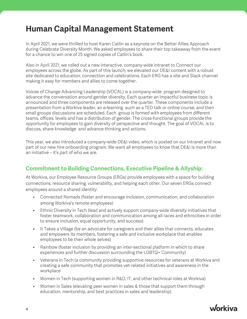In April 2021, we were thrilled to host Karen Catlin as a keynote on the Better Allies Approach during Celebrate Diversity Month. We asked employees to share their top takeaway from the event for a chance to win one of 25 signed copies of Catlin's book.

Also in April 2021, we rolled out a new interactive, company-wide intranet to Connect our employees across the globe. As part of this launch, we elevated our DE&I content with a robust site dedicated to education, connection and celebrations. Each ERG has a site and Slack channel making it easy for members and allies to come together.

Voices of Change Advancing Leadership (VOCAL) is a company-wide program designed to advance the conversation around gender diversity. Each quarter an impactful business topic is announced and three components are released over the quarter. These components include a presentation from a Workiva leader, an e-learning such as a TED talk or online course, and then small groups discussions are scheduled. Each group is formed with employees from different teams, offices, levels and has a distribution of gender. The cross-functional groups provide the opportunity for employees to gain diversity of perspective and thought. The goal of VOCAL is to discuss, share knowledge and advance thinking and actions.

This year, we also introduced a company-wide DE&I video, which is posted on our Intranet and now part of our new hire onboarding program. We want all employees to know that DE&I is more than an initiative – it's part of who we are.

### **Commitment to Building Connections, Executive Pipeline & Allyship:**

At Workiva, our Employee Resource Groups (ERGs) provide employees with a space for building connections, resource sharing, vulnerability, and helping each other. Our seven ERGs connect employees around a shared identity:

- Connected Nomads (foster and encourage inclusion, communication, and collaboration among Workiva's remote employees)
- Ethnic Diversity in Tech (lead and actively support company-wide diversity initiatives that foster teamwork, collaboration and communication among all races and ethnicities in order to ensure inclusion, equal opportunity, and success)
- It Takes a Village (be an advocate for caregivers and their allies that connects, educates and empowers its members, fostering a safe and inclusive workplace that enables employees to be their whole selves)
- Rainbow (foster inclusion by providing an inter-sectional platform in which to share experiences and further discussion surrounding the LGBTQ+ Community)
- Veterans in Tech (a community providing supportive resources for veterans at Workiva and creating a safe community that promotes vet-related initiatives and awareness in the workplace
- Women in Tech (supporting women in R&D, IT, and other technical roles at Workiva)
- Women in Sales (elevating peer women in sales & those that support them through education, mentorship, and best practices in sales and leadership)

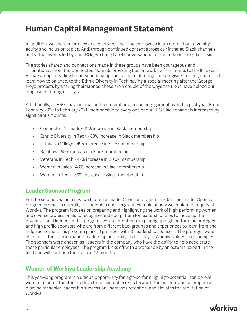In addition, we share micro-lessons each week, helping employees learn more about diversity, equity and inclusion topics. And, through continued content across our intranet, Slack channels and virtual events led by our ERGs, we bring DE&I conversations to the table on a regular basis.

The stories shared and connections made in these groups have been courageous and inspirational. From the Connected Nomads providing tips on working from home, to the It Takes a Village group providing home-schooling tips and a place of refuge for caregivers to vent, share and learn how to balance, to the Ethnic Diversity in Tech having a special meeting after the George Floyd protests by sharing their stories, these are a couple of the ways the ERGs have helped our employees through this year.

Additionally, all ERGs have increased their membership and engagement over this past year. From February 2020 to February 2021, membership to every one of our ERG Slack channels increased by significant amounts:

- Connected Nomads 45% increase in Slack membership
- Ethnic Diversity in Tech 83% increase in Slack membership
- It Takes a Village 49% increase in Slack membership
- Rainbow 59% increase in Slack membership
- Veterans in Tech 47% increase in Slack membership
- Women in Sales 48% increase in Slack membership
- Women in Tech 53% increase in Slack membership

#### **Leader Sponsor Program**

For the second year in a row, we hosted a Leader Sponsor program in 2021. The Leader Sponsor program promotes diversity in leadership and is a great example of how we implement equity at Workiva. The program focuses on preparing and highlighting the work of high performing women and diverse professionals to recognize and equip them for leadership roles to move up the organizational ladder. In this program, we are intentional in pairing up high performing proteges and high profile sponsors who are from different backgrounds and experiences to learn from and help each other. This program pairs 10 proteges with 10 leadership sponsors. The proteges were chosen for their performance, leadership potential, and display of Workiva values and principles. The sponsors were chosen as leaders in the company who have the ability to help accelerate these particular employees. The program kicks off with a workshop by an external expert in the field and will continue for the next 12-months.

#### **Women of Workiva Leadership Academy**

This year-long program is a unique opportunity for high-performing, high-potential, senior-level women to come together to drive their leadership skills forward. The academy helps prepare a pipeline for senior leadership succession, increases retention, and elevates the reputation of Workiva.

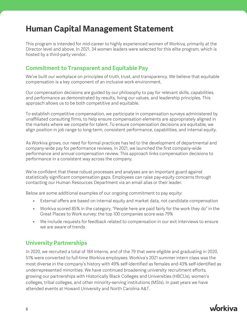This program is intended for mid-career to highly experienced women of Workiva, primarily at the Director level and above. In 2021, 34 women leaders were selected for this elite program, which is hosted by a third-party vendor.

#### **Commitment to Transparent and Equitable Pay**

We've built our workplace on principles of truth, trust, and transparency. We believe that equitable compensation is a key component of an inclusive work environment.

Our compensation decisions are guided by our philosophy to pay for relevant skills, capabilities, and performance as demonstrated by results, living our values, and leadership principles. This approach allows us to be both competitive and equitable.

To establish competitive compensation, we participate in compensation surveys administered by unaffiliated consulting firms, to help ensure compensation elements are appropriately aligned in the markets where we compete for talent. To ensure compensation decisions are equitable, we align position in job range to long-term, consistent performance, capabilities, and internal equity.

As Workiva grows, our need for formal practices has led to the development of departmental and company-wide pay for performance reviews. In 2021, we launched the first company-wide performance and annual compensation review. This approach links compensation decisions to performance in a consistent way across the company.

We're confident that these robust processes and analyses are an important guard against statistically significant compensation gaps. Employees can raise pay-equity concerns through contacting our Human Resources Department via an email alias or their leader.

Below are some additional examples of our ongoing commitment to pay equity:

- External offers are based on internal equity and market data, not candidate compensation
- Workiva scored 85% in the category, "People here are paid fairly for the work they do" in the Great Places to Work survey; the top 100 companies score was 79%
- We include requests for feedback related to compensation in our exit interviews to ensure we are aware of trends

#### **University Partnerships**

In 2020, we recruited a total of 184 interns, and of the 79 that were eligible and graduating in 2020, 51% were converted to full-time Workiva employees. Workiva's 2021 summer intern class was the most diverse in the company's history with 49% self-identified as females and 43% self-identified as underrepresented minorities. We have continued broadening university recruitment efforts, growing our partnerships with Historically Black Colleges and Universities (HBCUs), women's colleges, tribal colleges, and other minority-serving institutions (MSIs). In past years we have attended events at Howard University and North Carolina A&T.

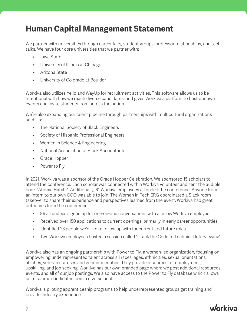We partner with universities through career fairs, student groups, professor relationships, and tech talks. We have four core universities that we partner with:

- Iowa State
- University of Illinois at Chicago
- Arizona State
- University of Colorado at Boulder

Workiva also utilizes Yello and WayUp for recruitment activities. This software allows us to be intentional with how we reach diverse candidates, and gives Workiva a platform to host our own events and invite students from across the nation.

We're also expanding our talent pipeline through partnerships with multicultural organizations such as:

- The National Society of Black Engineers
- Society of Hispanic Professional Engineers
- Women in Science & Engineering
- National Association of Black Accountants
- Grace Hopper
- Power to Fly

In 2021, Workiva was a sponsor of the Grace Hopper Celebration. We sponsored 15 scholars to attend the conference. Each scholar was connected with a Workiva volunteer and sent the audible book "Atomic Habits". Additionally, 61 Workiva employees attended the conference. Anyone from an intern to our own COO was able to join. The Women in Tech ERG coordinated a Slack room takeover to share their experience and perspectives learned from the event. Workiva had great outcomes from the conference.

- 96 attendees signed up for one-on-one conversations with a fellow Workiva employee
- Received over 150 applications to current openings, primarily in early career opportunities
- Identified 28 people we'd like to follow up with for current and future roles
- Two Workiva employees hosted a session called "Crack the Code to Technical Interviewing"

Workiva also has an ongoing partnership with Power to Fly, a women-led organization, focusing on empowering underrepresented talent across all races, ages, ethnicities, sexual orientations, abilities, veteran statuses and gender identities. They provide resources for employment, upskilling, and job seeking. Workiva has our own branded page where we post additional resources, events, and all of our job postings. We also have access to the Power to Fly database which allows us to source candidates from a diverse pool.

Workiva is piloting apprenticeship programs to help underrepresented groups get training and provide industry experience.

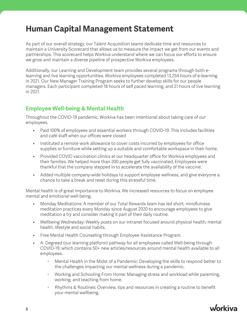As part of our overall strategy, our Talent Acquisition teams dedicate time and resources to maintain a University Scorecard that allows us to measure the impact we get from our events and partnerships. This scorecard helps Workiva understand where we can focus our efforts to ensure we grow and maintain a diverse pipeline of prospective Workiva employees.

Additionally, our Learning and Development team provides several programs through both elearning and live learning opportunities. Workiva employees completed 13,254 hours of e-learning in 2021. Our New Manager Training Program seeks to further develop skills for our people managers. Each participant completed 18 hours of self paced learning, and 21 hours of live learning in 2021.

### **Employee Well-being & Mental Health**

Throughout the COVID-19 pandemic, Workiva has been intentional about taking care of our employees.

- Paid 100% of employees and essential workers through COVID-19. This includes facilities and café staff when our offices were closed
- Instituted a remote work allowance to cover costs incurred by employees for office supplies or furniture while setting up a suitable and comfortable workspace in their home.
- Provided COVID vaccination clinics at our headquarter office for Workiva employees and their families. We helped more than 200 people get fully vaccinated. Employees were thankful that the company stepped in to accelerate the availability of the vaccine.
- Added multiple company-wide holidays to support employee wellness, and give everyone a chance to take a break and reset during this stressful time.

Mental health is of great importance to Workiva. We increased resources to focus on employee mental and emotional well-being.

- Monday Meditations: A member of our Total Rewards team has led short, mindfulness meditation practices every Monday since August 2020 to encourage employees to give meditation a try and consider making it part of their daily routine.
- Wellbeing Wednesday: Weekly posts on our intranet focused around physical health, mental health, lifestyle and social habits.
- Free Mental Health Counseling through Employee Assistance Program.
- A Degreed (our learning platform) pathway for all employees called Well-being through COVID-19, which contains 50+ new articles/resources around mental health available to all employees.
	- Mental Health in the Midst of a Pandemic: Developing the skills to respond better to the challenges impacting our mental wellness during a pandemic.
	- Working and Schooling From Home: Managing stress and workload while parenting, working, and teaching from home.
	- Rhythms & Routines: Overview, tips and resources in creating a routine to benefit your mental wellbeing.